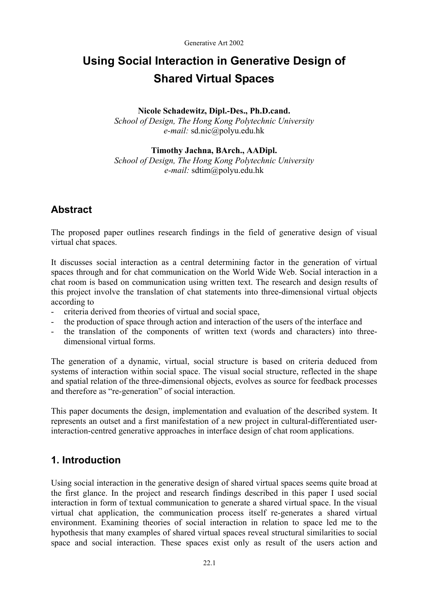# **Using Social Interaction in Generative Design of Shared Virtual Spaces**

### **Nicole Schadewitz, Dipl.-Des., Ph.D.cand.**

*School of Design, The Hong Kong Polytechnic University e-mail:* sd.nic@polyu.edu.hk

### **Timothy Jachna, BArch., AADipl.**

*School of Design, The Hong Kong Polytechnic University e-mail:* sdtim@polyu.edu.hk

## **Abstract**

The proposed paper outlines research findings in the field of generative design of visual virtual chat spaces.

It discusses social interaction as a central determining factor in the generation of virtual spaces through and for chat communication on the World Wide Web. Social interaction in a chat room is based on communication using written text. The research and design results of this project involve the translation of chat statements into three-dimensional virtual objects according to

- criteria derived from theories of virtual and social space,
- the production of space through action and interaction of the users of the interface and
- the translation of the components of written text (words and characters) into threedimensional virtual forms.

The generation of a dynamic, virtual, social structure is based on criteria deduced from systems of interaction within social space. The visual social structure, reflected in the shape and spatial relation of the three-dimensional objects, evolves as source for feedback processes and therefore as "re-generation" of social interaction.

This paper documents the design, implementation and evaluation of the described system. It represents an outset and a first manifestation of a new project in cultural-differentiated userinteraction-centred generative approaches in interface design of chat room applications.

## **1. Introduction**

Using social interaction in the generative design of shared virtual spaces seems quite broad at the first glance. In the project and research findings described in this paper I used social interaction in form of textual communication to generate a shared virtual space. In the visual virtual chat application, the communication process itself re-generates a shared virtual environment. Examining theories of social interaction in relation to space led me to the hypothesis that many examples of shared virtual spaces reveal structural similarities to social space and social interaction. These spaces exist only as result of the users action and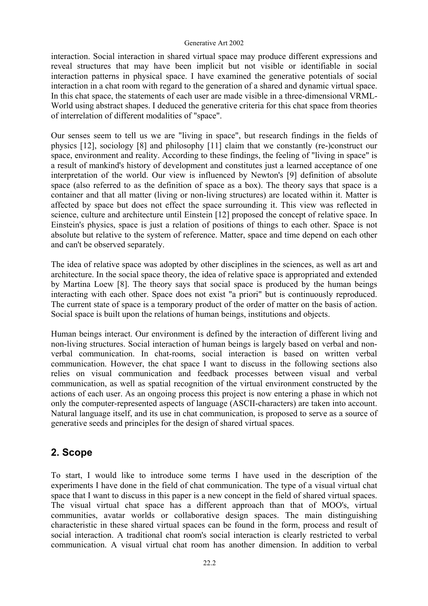interaction. Social interaction in shared virtual space may produce different expressions and reveal structures that may have been implicit but not visible or identifiable in social interaction patterns in physical space. I have examined the generative potentials of social interaction in a chat room with regard to the generation of a shared and dynamic virtual space. In this chat space, the statements of each user are made visible in a three-dimensional VRML-World using abstract shapes. I deduced the generative criteria for this chat space from theories of interrelation of different modalities of "space".

Our senses seem to tell us we are "living in space", but research findings in the fields of physics [12], sociology [8] and philosophy [11] claim that we constantly (re-)construct our space, environment and reality. According to these findings, the feeling of "living in space" is a result of mankind's history of development and constitutes just a learned acceptance of one interpretation of the world. Our view is influenced by Newton's [9] definition of absolute space (also referred to as the definition of space as a box). The theory says that space is a container and that all matter (living or non-living structures) are located within it. Matter is affected by space but does not effect the space surrounding it. This view was reflected in science, culture and architecture until Einstein [12] proposed the concept of relative space. In Einstein's physics, space is just a relation of positions of things to each other. Space is not absolute but relative to the system of reference. Matter, space and time depend on each other and can't be observed separately.

The idea of relative space was adopted by other disciplines in the sciences, as well as art and architecture. In the social space theory, the idea of relative space is appropriated and extended by Martina Loew [8]. The theory says that social space is produced by the human beings interacting with each other. Space does not exist "a priori" but is continuously reproduced. The current state of space is a temporary product of the order of matter on the basis of action. Social space is built upon the relations of human beings, institutions and objects.

Human beings interact. Our environment is defined by the interaction of different living and non-living structures. Social interaction of human beings is largely based on verbal and nonverbal communication. In chat-rooms, social interaction is based on written verbal communication. However, the chat space I want to discuss in the following sections also relies on visual communication and feedback processes between visual and verbal communication, as well as spatial recognition of the virtual environment constructed by the actions of each user. As an ongoing process this project is now entering a phase in which not only the computer-represented aspects of language (ASCII-characters) are taken into account. Natural language itself, and its use in chat communication, is proposed to serve as a source of generative seeds and principles for the design of shared virtual spaces.

## **2. Scope**

To start, I would like to introduce some terms I have used in the description of the experiments I have done in the field of chat communication. The type of a visual virtual chat space that I want to discuss in this paper is a new concept in the field of shared virtual spaces. The visual virtual chat space has a different approach than that of MOO's, virtual communities, avatar worlds or collaborative design spaces. The main distinguishing characteristic in these shared virtual spaces can be found in the form, process and result of social interaction. A traditional chat room's social interaction is clearly restricted to verbal communication. A visual virtual chat room has another dimension. In addition to verbal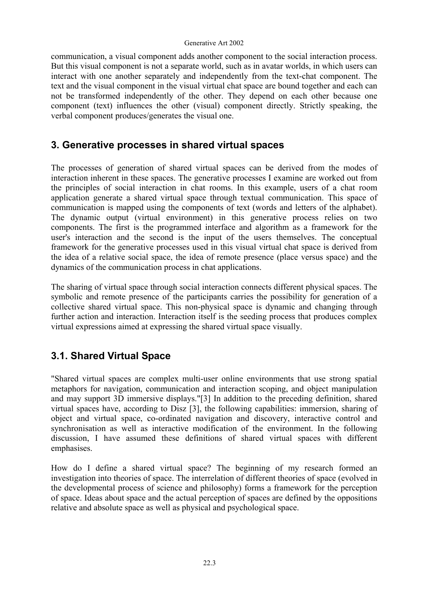communication, a visual component adds another component to the social interaction process. But this visual component is not a separate world, such as in avatar worlds, in which users can interact with one another separately and independently from the text-chat component. The text and the visual component in the visual virtual chat space are bound together and each can not be transformed independently of the other. They depend on each other because one component (text) influences the other (visual) component directly. Strictly speaking, the verbal component produces/generates the visual one.

## **3. Generative processes in shared virtual spaces**

The processes of generation of shared virtual spaces can be derived from the modes of interaction inherent in these spaces. The generative processes I examine are worked out from the principles of social interaction in chat rooms. In this example, users of a chat room application generate a shared virtual space through textual communication. This space of communication is mapped using the components of text (words and letters of the alphabet). The dynamic output (virtual environment) in this generative process relies on two components. The first is the programmed interface and algorithm as a framework for the user's interaction and the second is the input of the users themselves. The conceptual framework for the generative processes used in this visual virtual chat space is derived from the idea of a relative social space, the idea of remote presence (place versus space) and the dynamics of the communication process in chat applications.

The sharing of virtual space through social interaction connects different physical spaces. The symbolic and remote presence of the participants carries the possibility for generation of a collective shared virtual space. This non-physical space is dynamic and changing through further action and interaction. Interaction itself is the seeding process that produces complex virtual expressions aimed at expressing the shared virtual space visually.

## **3.1. Shared Virtual Space**

"Shared virtual spaces are complex multi-user online environments that use strong spatial metaphors for navigation, communication and interaction scoping, and object manipulation and may support 3D immersive displays."[3] In addition to the preceding definition, shared virtual spaces have, according to Disz [3], the following capabilities: immersion, sharing of object and virtual space, co-ordinated navigation and discovery, interactive control and synchronisation as well as interactive modification of the environment. In the following discussion, I have assumed these definitions of shared virtual spaces with different emphasises.

How do I define a shared virtual space? The beginning of my research formed an investigation into theories of space. The interrelation of different theories of space (evolved in the developmental process of science and philosophy) forms a framework for the perception of space. Ideas about space and the actual perception of spaces are defined by the oppositions relative and absolute space as well as physical and psychological space.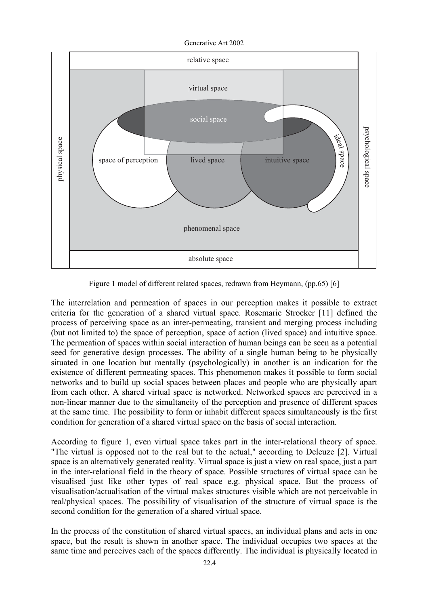Generative Art 2002



Figure 1 model of different related spaces, redrawn from Heymann, (pp.65) [6]

The interrelation and permeation of spaces in our perception makes it possible to extract criteria for the generation of a shared virtual space. Rosemarie Stroeker [11] defined the process of perceiving space as an inter-permeating, transient and merging process including (but not limited to) the space of perception, space of action (lived space) and intuitive space. The permeation of spaces within social interaction of human beings can be seen as a potential seed for generative design processes. The ability of a single human being to be physically situated in one location but mentally (psychologically) in another is an indication for the existence of different permeating spaces. This phenomenon makes it possible to form social networks and to build up social spaces between places and people who are physically apart from each other. A shared virtual space is networked. Networked spaces are perceived in a non-linear manner due to the simultaneity of the perception and presence of different spaces at the same time. The possibility to form or inhabit different spaces simultaneously is the first condition for generation of a shared virtual space on the basis of social interaction.

According to figure 1, even virtual space takes part in the inter-relational theory of space. "The virtual is opposed not to the real but to the actual," according to Deleuze [2]. Virtual space is an alternatively generated reality. Virtual space is just a view on real space, just a part in the inter-relational field in the theory of space. Possible structures of virtual space can be visualised just like other types of real space e.g. physical space. But the process of visualisation/actualisation of the virtual makes structures visible which are not perceivable in real/physical spaces. The possibility of visualisation of the structure of virtual space is the second condition for the generation of a shared virtual space.

In the process of the constitution of shared virtual spaces, an individual plans and acts in one space, but the result is shown in another space. The individual occupies two spaces at the same time and perceives each of the spaces differently. The individual is physically located in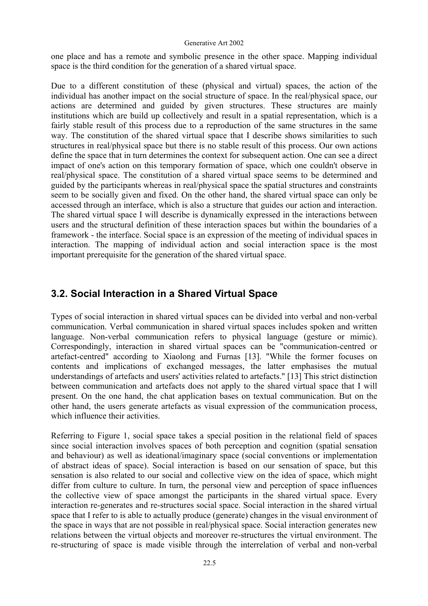one place and has a remote and symbolic presence in the other space. Mapping individual space is the third condition for the generation of a shared virtual space.

Due to a different constitution of these (physical and virtual) spaces, the action of the individual has another impact on the social structure of space. In the real/physical space, our actions are determined and guided by given structures. These structures are mainly institutions which are build up collectively and result in a spatial representation, which is a fairly stable result of this process due to a reproduction of the same structures in the same way. The constitution of the shared virtual space that I describe shows similarities to such structures in real/physical space but there is no stable result of this process. Our own actions define the space that in turn determines the context for subsequent action. One can see a direct impact of one's action on this temporary formation of space, which one couldn't observe in real/physical space. The constitution of a shared virtual space seems to be determined and guided by the participants whereas in real/physical space the spatial structures and constraints seem to be socially given and fixed. On the other hand, the shared virtual space can only be accessed through an interface, which is also a structure that guides our action and interaction. The shared virtual space I will describe is dynamically expressed in the interactions between users and the structural definition of these interaction spaces but within the boundaries of a framework - the interface. Social space is an expression of the meeting of individual spaces in interaction. The mapping of individual action and social interaction space is the most important prerequisite for the generation of the shared virtual space.

## **3.2. Social Interaction in a Shared Virtual Space**

Types of social interaction in shared virtual spaces can be divided into verbal and non-verbal communication. Verbal communication in shared virtual spaces includes spoken and written language. Non-verbal communication refers to physical language (gesture or mimic). Correspondingly, interaction in shared virtual spaces can be "communication-centred or artefact-centred" according to Xiaolong and Furnas [13]. "While the former focuses on contents and implications of exchanged messages, the latter emphasises the mutual understandings of artefacts and users' activities related to artefacts." [13] This strict distinction between communication and artefacts does not apply to the shared virtual space that I will present. On the one hand, the chat application bases on textual communication. But on the other hand, the users generate artefacts as visual expression of the communication process, which influence their activities.

Referring to Figure 1, social space takes a special position in the relational field of spaces since social interaction involves spaces of both perception and cognition (spatial sensation and behaviour) as well as ideational/imaginary space (social conventions or implementation of abstract ideas of space). Social interaction is based on our sensation of space, but this sensation is also related to our social and collective view on the idea of space, which might differ from culture to culture. In turn, the personal view and perception of space influences the collective view of space amongst the participants in the shared virtual space. Every interaction re-generates and re-structures social space. Social interaction in the shared virtual space that I refer to is able to actually produce (generate) changes in the visual environment of the space in ways that are not possible in real/physical space. Social interaction generates new relations between the virtual objects and moreover re-structures the virtual environment. The re-structuring of space is made visible through the interrelation of verbal and non-verbal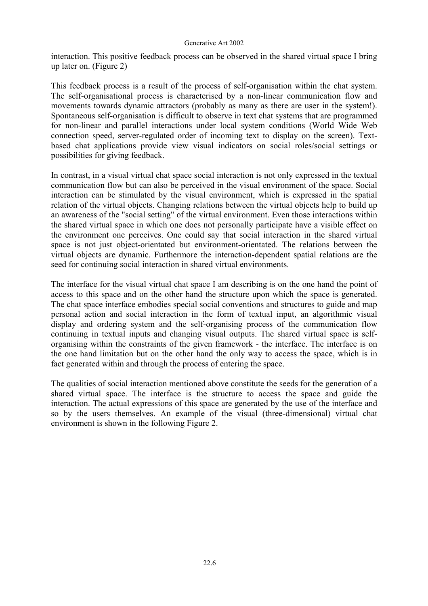interaction. This positive feedback process can be observed in the shared virtual space I bring up later on. (Figure 2)

This feedback process is a result of the process of self-organisation within the chat system. The self-organisational process is characterised by a non-linear communication flow and movements towards dynamic attractors (probably as many as there are user in the system!). Spontaneous self-organisation is difficult to observe in text chat systems that are programmed for non-linear and parallel interactions under local system conditions (World Wide Web connection speed, server-regulated order of incoming text to display on the screen). Textbased chat applications provide view visual indicators on social roles/social settings or possibilities for giving feedback.

In contrast, in a visual virtual chat space social interaction is not only expressed in the textual communication flow but can also be perceived in the visual environment of the space. Social interaction can be stimulated by the visual environment, which is expressed in the spatial relation of the virtual objects. Changing relations between the virtual objects help to build up an awareness of the "social setting" of the virtual environment. Even those interactions within the shared virtual space in which one does not personally participate have a visible effect on the environment one perceives. One could say that social interaction in the shared virtual space is not just object-orientated but environment-orientated. The relations between the virtual objects are dynamic. Furthermore the interaction-dependent spatial relations are the seed for continuing social interaction in shared virtual environments.

The interface for the visual virtual chat space I am describing is on the one hand the point of access to this space and on the other hand the structure upon which the space is generated. The chat space interface embodies special social conventions and structures to guide and map personal action and social interaction in the form of textual input, an algorithmic visual display and ordering system and the self-organising process of the communication flow continuing in textual inputs and changing visual outputs. The shared virtual space is selforganising within the constraints of the given framework - the interface. The interface is on the one hand limitation but on the other hand the only way to access the space, which is in fact generated within and through the process of entering the space.

The qualities of social interaction mentioned above constitute the seeds for the generation of a shared virtual space. The interface is the structure to access the space and guide the interaction. The actual expressions of this space are generated by the use of the interface and so by the users themselves. An example of the visual (three-dimensional) virtual chat environment is shown in the following Figure 2.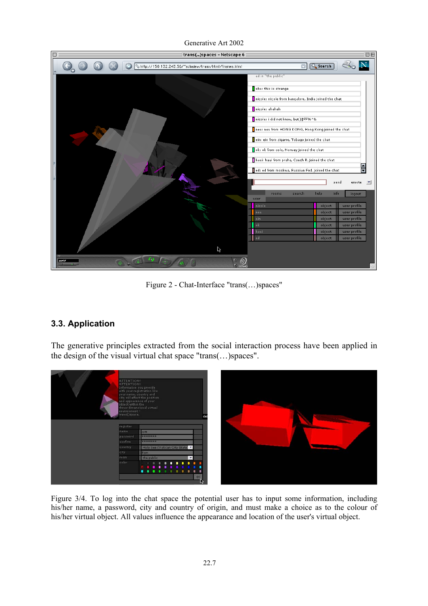

Generative Art 2002

Figure 2 - Chat-Interface "trans(…)spaces"

### **3.3. Application**

The generative principles extracted from the social interaction process have been applied in the design of the visual virtual chat space "trans(…)spaces".



Figure 3/4. To log into the chat space the potential user has to input some information, including his/her name, a password, city and country of origin, and must make a choice as to the colour of his/her virtual object. All values influence the appearance and location of the user's virtual object.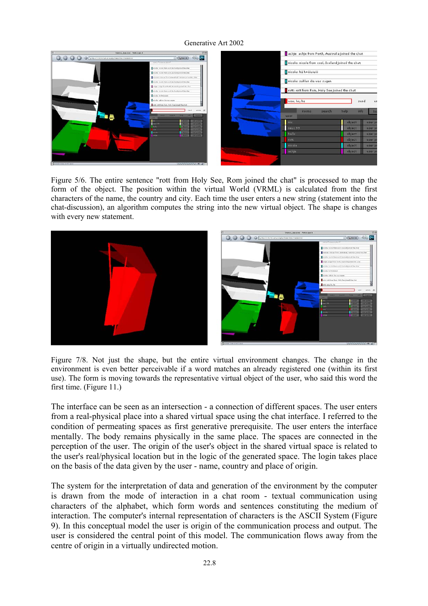

Figure 5/6. The entire sentence "rott from Holy See, Rom joined the chat" is processed to map the form of the object. The position within the virtual World (VRML) is calculated from the first characters of the name, the country and city. Each time the user enters a new string (statement into the chat-discussion), an algorithm computes the string into the new virtual object. The shape is changes with every new statement.



Figure 7/8. Not just the shape, but the entire virtual environment changes. The change in the environment is even better perceivable if a word matches an already registered one (within its first use). The form is moving towards the representative virtual object of the user, who said this word the first time. (Figure 11.)

The interface can be seen as an intersection - a connection of different spaces. The user enters from a real-physical place into a shared virtual space using the chat interface. I referred to the condition of permeating spaces as first generative prerequisite. The user enters the interface mentally. The body remains physically in the same place. The spaces are connected in the perception of the user. The origin of the user's object in the shared virtual space is related to the user's real/physical location but in the logic of the generated space. The login takes place on the basis of the data given by the user - name, country and place of origin.

The system for the interpretation of data and generation of the environment by the computer is drawn from the mode of interaction in a chat room - textual communication using characters of the alphabet, which form words and sentences constituting the medium of interaction. The computer's internal representation of characters is the ASCII System (Figure 9). In this conceptual model the user is origin of the communication process and output. The user is considered the central point of this model. The communication flows away from the centre of origin in a virtually undirected motion.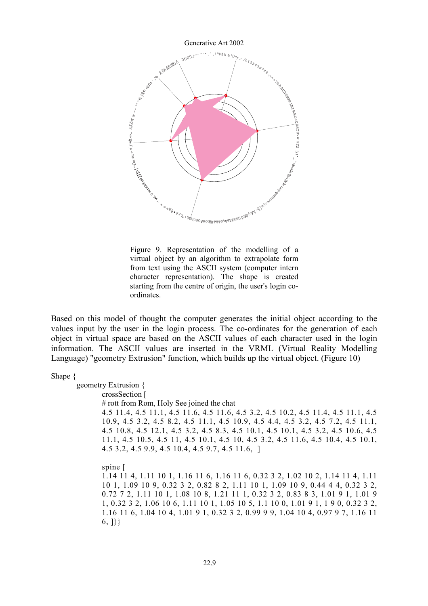

Figure 9. Representation of the modelling of a virtual object by an algorithm to extrapolate form from text using the ASCII system (computer intern character representation). The shape is created starting from the centre of origin, the user's login coordinates.

Based on this model of thought the computer generates the initial object according to the values input by the user in the login process. The co-ordinates for the generation of each object in virtual space are based on the ASCII values of each character used in the login information. The ASCII values are inserted in the VRML (Virtual Reality Modelling Language) "geometry Extrusion" function, which builds up the virtual object. (Figure 10)

Shape {

geometry Extrusion { crossSection [ # rott from Rom, Holy See joined the chat 4.5 11.4, 4.5 11.1, 4.5 11.6, 4.5 11.6, 4.5 3.2, 4.5 10.2, 4.5 11.4, 4.5 11.1, 4.5 10.9, 4.5 3.2, 4.5 8.2, 4.5 11.1, 4.5 10.9, 4.5 4.4, 4.5 3.2, 4.5 7.2, 4.5 11.1, 4.5 10.8, 4.5 12.1, 4.5 3.2, 4.5 8.3, 4.5 10.1, 4.5 10.1, 4.5 3.2, 4.5 10.6, 4.5 11.1, 4.5 10.5, 4.5 11, 4.5 10.1, 4.5 10, 4.5 3.2, 4.5 11.6, 4.5 10.4, 4.5 10.1, 4.5 3.2, 4.5 9.9, 4.5 10.4, 4.5 9.7, 4.5 11.6, ] spine [ 1.14 11 4, 1.11 10 1, 1.16 11 6, 1.16 11 6, 0.32 3 2, 1.02 10 2, 1.14 11 4, 1.11 10 1, 1.09 10 9, 0.32 3 2, 0.82 8 2, 1.11 10 1, 1.09 10 9, 0.44 4 4, 0.32 3 2, 0.72 7 2, 1.11 10 1, 1.08 10 8, 1.21 11 1, 0.32 3 2, 0.83 8 3, 1.01 9 1, 1.01 9 1, 0.32 3 2, 1.06 10 6, 1.11 10 1, 1.05 10 5, 1.1 10 0, 1.01 9 1, 1 9 0, 0.32 3 2, 1.16 11 6, 1.04 10 4, 1.01 9 1, 0.32 3 2, 0.99 9 9, 1.04 10 4, 0.97 9 7, 1.16 11 6, ]}}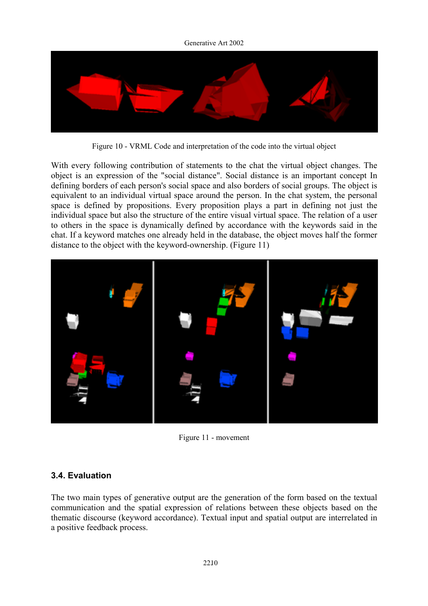

Figure 10 - VRML Code and interpretation of the code into the virtual object

With every following contribution of statements to the chat the virtual object changes. The object is an expression of the "social distance". Social distance is an important concept In defining borders of each person's social space and also borders of social groups. The object is equivalent to an individual virtual space around the person. In the chat system, the personal space is defined by propositions. Every proposition plays a part in defining not just the individual space but also the structure of the entire visual virtual space. The relation of a user to others in the space is dynamically defined by accordance with the keywords said in the chat. If a keyword matches one already held in the database, the object moves half the former distance to the object with the keyword-ownership. (Figure 11)



Figure 11 - movement

### **3.4. Evaluation**

The two main types of generative output are the generation of the form based on the textual communication and the spatial expression of relations between these objects based on the thematic discourse (keyword accordance). Textual input and spatial output are interrelated in a positive feedback process.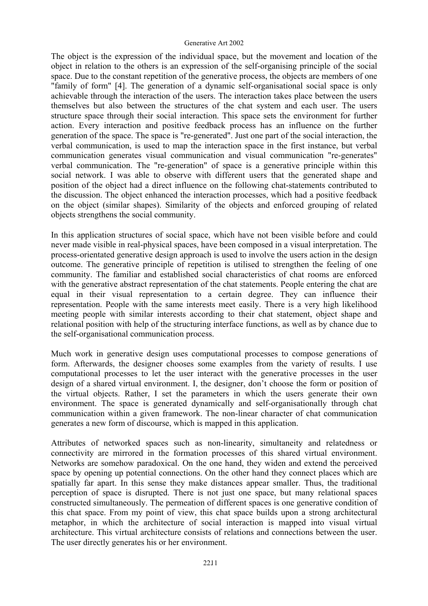The object is the expression of the individual space, but the movement and location of the object in relation to the others is an expression of the self-organising principle of the social space. Due to the constant repetition of the generative process, the objects are members of one "family of form" [4]. The generation of a dynamic self-organisational social space is only achievable through the interaction of the users. The interaction takes place between the users themselves but also between the structures of the chat system and each user. The users structure space through their social interaction. This space sets the environment for further action. Every interaction and positive feedback process has an influence on the further generation of the space. The space is "re-generated". Just one part of the social interaction, the verbal communication, is used to map the interaction space in the first instance, but verbal communication generates visual communication and visual communication "re-generates" verbal communication. The "re-generation" of space is a generative principle within this social network. I was able to observe with different users that the generated shape and position of the object had a direct influence on the following chat-statements contributed to the discussion. The object enhanced the interaction processes, which had a positive feedback on the object (similar shapes). Similarity of the objects and enforced grouping of related objects strengthens the social community.

In this application structures of social space, which have not been visible before and could never made visible in real-physical spaces, have been composed in a visual interpretation. The process-orientated generative design approach is used to involve the users action in the design outcome. The generative principle of repetition is utilised to strengthen the feeling of one community. The familiar and established social characteristics of chat rooms are enforced with the generative abstract representation of the chat statements. People entering the chat are equal in their visual representation to a certain degree. They can influence their representation. People with the same interests meet easily. There is a very high likelihood meeting people with similar interests according to their chat statement, object shape and relational position with help of the structuring interface functions, as well as by chance due to the self-organisational communication process.

Much work in generative design uses computational processes to compose generations of form. Afterwards, the designer chooses some examples from the variety of results. I use computational processes to let the user interact with the generative processes in the user design of a shared virtual environment. I, the designer, don't choose the form or position of the virtual objects. Rather, I set the parameters in which the users generate their own environment. The space is generated dynamically and self-organisationally through chat communication within a given framework. The non-linear character of chat communication generates a new form of discourse, which is mapped in this application.

Attributes of networked spaces such as non-linearity, simultaneity and relatedness or connectivity are mirrored in the formation processes of this shared virtual environment. Networks are somehow paradoxical. On the one hand, they widen and extend the perceived space by opening up potential connections. On the other hand they connect places which are spatially far apart. In this sense they make distances appear smaller. Thus, the traditional perception of space is disrupted. There is not just one space, but many relational spaces constructed simultaneously. The permeation of different spaces is one generative condition of this chat space. From my point of view, this chat space builds upon a strong architectural metaphor, in which the architecture of social interaction is mapped into visual virtual architecture. This virtual architecture consists of relations and connections between the user. The user directly generates his or her environment.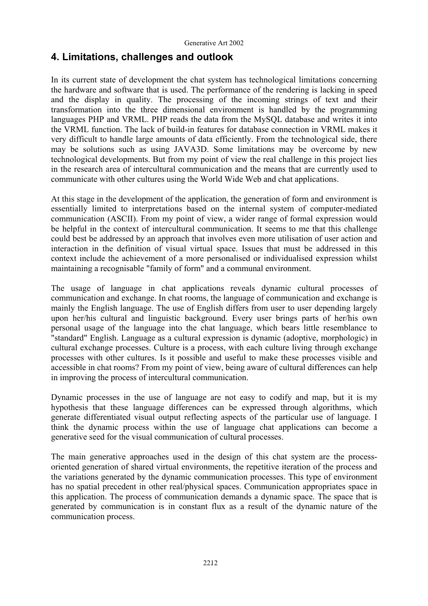## **4. Limitations, challenges and outlook**

In its current state of development the chat system has technological limitations concerning the hardware and software that is used. The performance of the rendering is lacking in speed and the display in quality. The processing of the incoming strings of text and their transformation into the three dimensional environment is handled by the programming languages PHP and VRML. PHP reads the data from the MySQL database and writes it into the VRML function. The lack of build-in features for database connection in VRML makes it very difficult to handle large amounts of data efficiently. From the technological side, there may be solutions such as using JAVA3D. Some limitations may be overcome by new technological developments. But from my point of view the real challenge in this project lies in the research area of intercultural communication and the means that are currently used to communicate with other cultures using the World Wide Web and chat applications.

At this stage in the development of the application, the generation of form and environment is essentially limited to interpretations based on the internal system of computer-mediated communication (ASCII). From my point of view, a wider range of formal expression would be helpful in the context of intercultural communication. It seems to me that this challenge could best be addressed by an approach that involves even more utilisation of user action and interaction in the definition of visual virtual space. Issues that must be addressed in this context include the achievement of a more personalised or individualised expression whilst maintaining a recognisable "family of form" and a communal environment.

The usage of language in chat applications reveals dynamic cultural processes of communication and exchange. In chat rooms, the language of communication and exchange is mainly the English language. The use of English differs from user to user depending largely upon her/his cultural and linguistic background. Every user brings parts of her/his own personal usage of the language into the chat language, which bears little resemblance to "standard" English. Language as a cultural expression is dynamic (adoptive, morphologic) in cultural exchange processes. Culture is a process, with each culture living through exchange processes with other cultures. Is it possible and useful to make these processes visible and accessible in chat rooms? From my point of view, being aware of cultural differences can help in improving the process of intercultural communication.

Dynamic processes in the use of language are not easy to codify and map, but it is my hypothesis that these language differences can be expressed through algorithms, which generate differentiated visual output reflecting aspects of the particular use of language. I think the dynamic process within the use of language chat applications can become a generative seed for the visual communication of cultural processes.

The main generative approaches used in the design of this chat system are the processoriented generation of shared virtual environments, the repetitive iteration of the process and the variations generated by the dynamic communication processes. This type of environment has no spatial precedent in other real/physical spaces. Communication appropriates space in this application. The process of communication demands a dynamic space. The space that is generated by communication is in constant flux as a result of the dynamic nature of the communication process.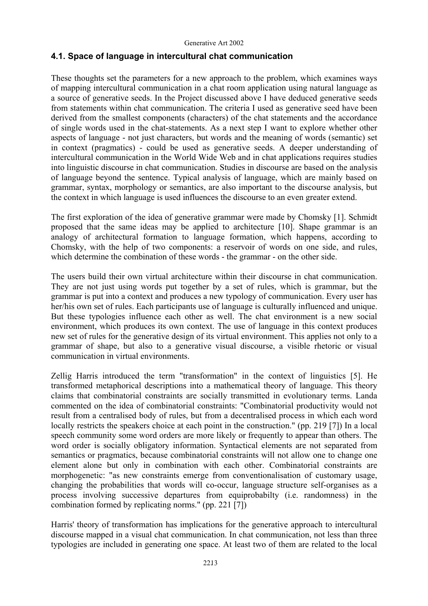### **4.1. Space of language in intercultural chat communication**

These thoughts set the parameters for a new approach to the problem, which examines ways of mapping intercultural communication in a chat room application using natural language as a source of generative seeds. In the Project discussed above I have deduced generative seeds from statements within chat communication. The criteria I used as generative seed have been derived from the smallest components (characters) of the chat statements and the accordance of single words used in the chat-statements. As a next step I want to explore whether other aspects of language - not just characters, but words and the meaning of words (semantic) set in context (pragmatics) - could be used as generative seeds. A deeper understanding of intercultural communication in the World Wide Web and in chat applications requires studies into linguistic discourse in chat communication. Studies in discourse are based on the analysis of language beyond the sentence. Typical analysis of language, which are mainly based on grammar, syntax, morphology or semantics, are also important to the discourse analysis, but the context in which language is used influences the discourse to an even greater extend.

The first exploration of the idea of generative grammar were made by Chomsky [1]. Schmidt proposed that the same ideas may be applied to architecture [10]. Shape grammar is an analogy of architectural formation to language formation, which happens, according to Chomsky, with the help of two components: a reservoir of words on one side, and rules, which determine the combination of these words - the grammar - on the other side.

The users build their own virtual architecture within their discourse in chat communication. They are not just using words put together by a set of rules, which is grammar, but the grammar is put into a context and produces a new typology of communication. Every user has her/his own set of rules. Each participants use of language is culturally influenced and unique. But these typologies influence each other as well. The chat environment is a new social environment, which produces its own context. The use of language in this context produces new set of rules for the generative design of its virtual environment. This applies not only to a grammar of shape, but also to a generative visual discourse, a visible rhetoric or visual communication in virtual environments.

Zellig Harris introduced the term "transformation" in the context of linguistics [5]. He transformed metaphorical descriptions into a mathematical theory of language. This theory claims that combinatorial constraints are socially transmitted in evolutionary terms. Landa commented on the idea of combinatorial constraints: "Combinatorial productivity would not result from a centralised body of rules, but from a decentralised process in which each word locally restricts the speakers choice at each point in the construction." (pp. 219 [7]) In a local speech community some word orders are more likely or frequently to appear than others. The word order is socially obligatory information. Syntactical elements are not separated from semantics or pragmatics, because combinatorial constraints will not allow one to change one element alone but only in combination with each other. Combinatorial constraints are morphogenetic: "as new constraints emerge from conventionalisation of customary usage, changing the probabilities that words will co-occur, language structure self-organises as a process involving successive departures from equiprobabilty (i.e. randomness) in the combination formed by replicating norms." (pp. 221 [7])

Harris' theory of transformation has implications for the generative approach to intercultural discourse mapped in a visual chat communication. In chat communication, not less than three typologies are included in generating one space. At least two of them are related to the local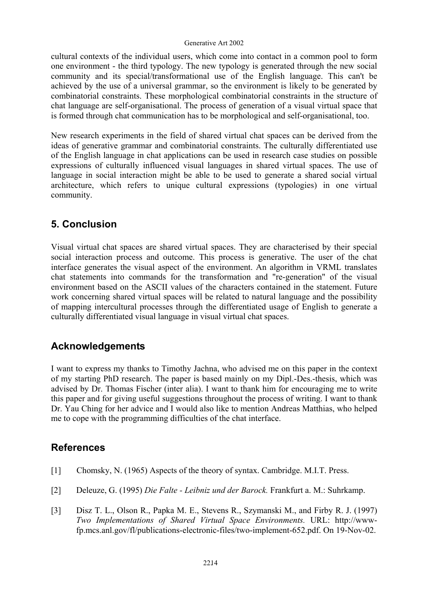cultural contexts of the individual users, which come into contact in a common pool to form one environment - the third typology. The new typology is generated through the new social community and its special/transformational use of the English language. This can't be achieved by the use of a universal grammar, so the environment is likely to be generated by combinatorial constraints. These morphological combinatorial constraints in the structure of chat language are self-organisational. The process of generation of a visual virtual space that is formed through chat communication has to be morphological and self-organisational, too.

New research experiments in the field of shared virtual chat spaces can be derived from the ideas of generative grammar and combinatorial constraints. The culturally differentiated use of the English language in chat applications can be used in research case studies on possible expressions of culturally influenced visual languages in shared virtual spaces. The use of language in social interaction might be able to be used to generate a shared social virtual architecture, which refers to unique cultural expressions (typologies) in one virtual community.

## **5. Conclusion**

Visual virtual chat spaces are shared virtual spaces. They are characterised by their special social interaction process and outcome. This process is generative. The user of the chat interface generates the visual aspect of the environment. An algorithm in VRML translates chat statements into commands for the transformation and "re-generation" of the visual environment based on the ASCII values of the characters contained in the statement. Future work concerning shared virtual spaces will be related to natural language and the possibility of mapping intercultural processes through the differentiated usage of English to generate a culturally differentiated visual language in visual virtual chat spaces.

## **Acknowledgements**

I want to express my thanks to Timothy Jachna, who advised me on this paper in the context of my starting PhD research. The paper is based mainly on my Dipl.-Des.-thesis, which was advised by Dr. Thomas Fischer (inter alia). I want to thank him for encouraging me to write this paper and for giving useful suggestions throughout the process of writing. I want to thank Dr. Yau Ching for her advice and I would also like to mention Andreas Matthias, who helped me to cope with the programming difficulties of the chat interface.

## **References**

- [1] Chomsky, N. (1965) Aspects of the theory of syntax. Cambridge. M.I.T. Press.
- [2] Deleuze, G. (1995) *Die Falte Leibniz und der Barock.* Frankfurt a. M.: Suhrkamp.
- [3] Disz T. L., Olson R., Papka M. E., Stevens R., Szymanski M., and Firby R. J. (1997) *Two Implementations of Shared Virtual Space Environments.* URL: http://wwwfp.mcs.anl.gov/fl/publications-electronic-files/two-implement-652.pdf. On 19-Nov-02.